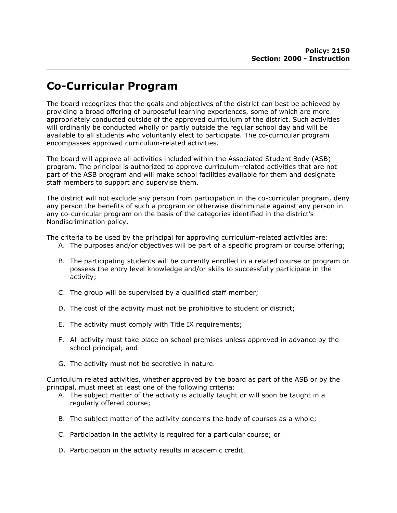## Co-Curricular Program

The board recognizes that the goals and objectives of the district can best be achieved by providing a broad offering of purposeful learning experiences, some of which are more appropriately conducted outside of the approved curriculum of the district. Such activities will ordinarily be conducted wholly or partly outside the regular school day and will be available to all students who voluntarily elect to participate. The co-curricular program encompasses approved curriculum-related activities.

The board will approve all activities included within the Associated Student Body (ASB) program. The principal is authorized to approve curriculum-related activities that are not part of the ASB program and will make school facilities available for them and designate staff members to support and supervise them.

The district will not exclude any person from participation in the co-curricular program, deny any person the benefits of such a program or otherwise discriminate against any person in any co-curricular program on the basis of the categories identified in the district's Nondiscrimination policy.

The criteria to be used by the principal for approving curriculum-related activities are:

- A. The purposes and/or objectives will be part of a specific program or course offering;
- B. The participating students will be currently enrolled in a related course or program or possess the entry level knowledge and/or skills to successfully participate in the activity;
- C. The group will be supervised by a qualified staff member;
- D. The cost of the activity must not be prohibitive to student or district;
- E. The activity must comply with Title IX requirements;
- F. All activity must take place on school premises unless approved in advance by the school principal; and
- G. The activity must not be secretive in nature.

Curriculum related activities, whether approved by the board as part of the ASB or by the principal, must meet at least one of the following criteria:

- A. The subject matter of the activity is actually taught or will soon be taught in a regularly offered course;
- B. The subject matter of the activity concerns the body of courses as a whole;
- C. Participation in the activity is required for a particular course; or
- D. Participation in the activity results in academic credit.